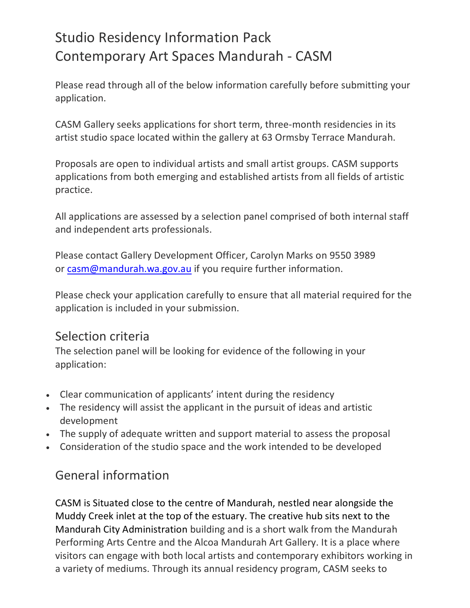# Studio Residency Information Pack Contemporary Art Spaces Mandurah - CASM

Please read through all of the below information carefully before submitting your application.

CASM Gallery seeks applications for short term, three-month residencies in its artist studio space located within the gallery at 63 Ormsby Terrace Mandurah.

Proposals are open to individual artists and small artist groups. CASM supports applications from both emerging and established artists from all fields of artistic practice.

All applications are assessed by a selection panel comprised of both internal staff and independent arts professionals.

Please contact Gallery Development Officer, Carolyn Marks on 9550 3989 or [casm@mandurah.wa.gov.au](mailto:casm@mandurah.wa.gov.au) if you require further information.

Please check your application carefully to ensure that all material required for the application is included in your submission.

# Selection criteria

The selection panel will be looking for evidence of the following in your application:

- Clear communication of applicants' intent during the residency
- The residency will assist the applicant in the pursuit of ideas and artistic development
- The supply of adequate written and support material to assess the proposal
- Consideration of the studio space and the work intended to be developed

# General information

CASM is Situated close to the centre of Mandurah, nestled near alongside the Muddy Creek inlet at the top of the estuary. The creative hub sits next to the Mandurah City Administration building and is a short walk from the Mandurah Performing Arts Centre and the Alcoa Mandurah Art Gallery. It is a place where visitors can engage with both local artists and contemporary exhibitors working in a variety of mediums. Through its annual residency program, CASM seeks to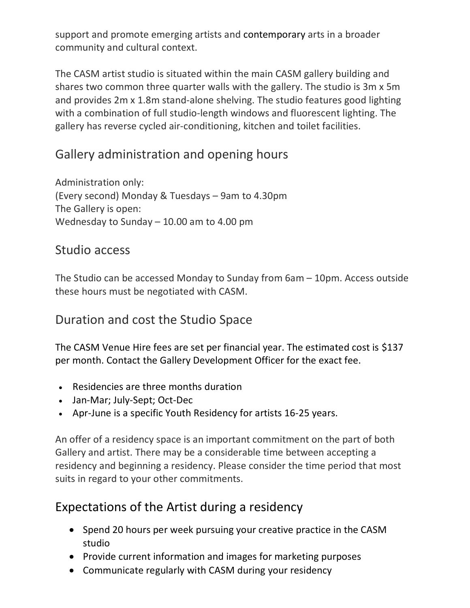support and promote emerging artists and contemporary arts in a broader community and cultural context.

The CASM artist studio is situated within the main CASM gallery building and shares two common three quarter walls with the gallery. The studio is 3m x 5m and provides 2m x 1.8m stand-alone shelving. The studio features good lighting with a combination of full studio-length windows and fluorescent lighting. The gallery has reverse cycled air-conditioning, kitchen and toilet facilities.

# Gallery administration and opening hours

Administration only: (Every second) Monday & Tuesdays – 9am to 4.30pm The Gallery is open: Wednesday to Sunday – 10.00 am to 4.00 pm

#### Studio access

The Studio can be accessed Monday to Sunday from 6am – 10pm. Access outside these hours must be negotiated with CASM.

#### Duration and cost the Studio Space

The CASM Venue Hire fees are set per financial year. The estimated cost is \$137 per month. Contact the Gallery Development Officer for the exact fee.

- Residencies are three months duration
- Jan-Mar; July-Sept; Oct-Dec
- Apr-June is a specific Youth Residency for artists 16-25 years.

An offer of a residency space is an important commitment on the part of both Gallery and artist. There may be a considerable time between accepting a residency and beginning a residency. Please consider the time period that most suits in regard to your other commitments.

#### Expectations of the Artist during a residency

- Spend 20 hours per week pursuing your creative practice in the CASM studio
- Provide current information and images for marketing purposes
- Communicate regularly with CASM during your residency